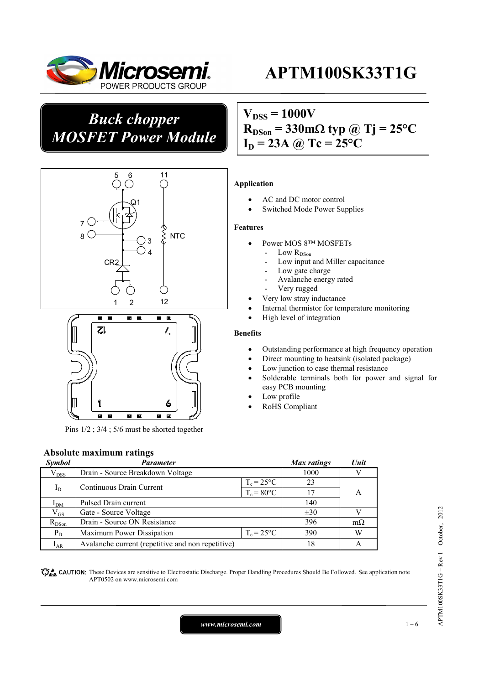

## *Buck chopper MOSFET Power Module*

# $V_{DSS} = 1000V$  $R_{DSon} = 330 \text{m}\Omega$  typ @ Tj = 25<sup>o</sup>C





Pins 1/2 ; 3/4 ; 5/6 must be shorted together

#### **Absolute maximum ratings**

| Symbol          | Parameter                                         |                     | Max ratings | Unit      |  |
|-----------------|---------------------------------------------------|---------------------|-------------|-----------|--|
| $V_{DSS}$       | Drain - Source Breakdown Voltage                  |                     | 1000        |           |  |
| $I_D$           | Continuous Drain Current                          | $T_c = 25$ °C       | 23          |           |  |
|                 |                                                   | $T_c = 80$ °C       | 17          | A         |  |
| I <sub>DM</sub> | Pulsed Drain current                              | 140                 |             |           |  |
| $\rm V_{GS}$    | Gate - Source Voltage                             |                     | $\pm 30$    |           |  |
| $R_{DSon}$      | Drain - Source ON Resistance                      |                     | 396         | $m\Omega$ |  |
| $P_D$           | Maximum Power Dissipation                         | $T_c = 25^{\circ}C$ | 390         | W         |  |
| $I_{AR}$        | Avalanche current (repetitive and non repetitive) |                     | 18          | А         |  |

**These** CAUTION: These Devices are sensitive to Electrostatic Discharge. Proper Handling Procedures Should Be Followed. See application note APT0502 on www.microsemi.com

# $I_D = 23A$  @ Tc = 25<sup>o</sup>C

#### **Application**

- AC and DC motor control
- Switched Mode Power Supplies

#### **Features**

- Power MOS 8™ MOSFETs
	- Low  $R_{DSon}$
	- Low input and Miller capacitance
	- Low gate charge
	- Avalanche energy rated
	- Very rugged
	- Very low stray inductance
- Internal thermistor for temperature monitoring
- High level of integration

#### **Benefits**

- Outstanding performance at high frequency operation
- Direct mounting to heatsink (isolated package)
- Low junction to case thermal resistance
- Solderable terminals both for power and signal for easy PCB mounting
- Low profile
- RoHS Compliant

*www.microsemi.com* 1 – 6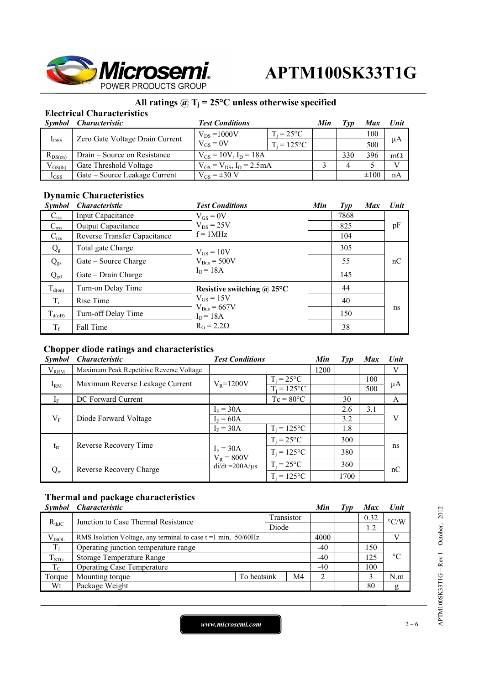

## **All ratings @ Tj = 25°C unless otherwise specified**

### **Electrical Characteristics**

| Symbol       | <i><b>Characteristic</b></i>    | <b>Test Conditions</b>             |                     | Min | Tvv | <b>Max</b> | Unit      |
|--------------|---------------------------------|------------------------------------|---------------------|-----|-----|------------|-----------|
| $I_{DSS}$    | Zero Gate Voltage Drain Current | $V_{DS} = 1000V$                   | $T_i = 25^{\circ}C$ |     |     | 100        |           |
|              |                                 | $V_{GS} = 0V$                      | $T_i = 125$ °C      |     |     | 500        | μA        |
| $R_{DS(on)}$ | Drain – Source on Resistance    | $V_{GS} = 10V$ , $I_D = 18A$       |                     |     | 330 | 396        | $m\Omega$ |
| $V_{GS(th)}$ | Gate Threshold Voltage          | $V_{GS} = V_{DS}$ , $I_D = 2.5 mA$ |                     |     |     |            |           |
| $I_{GSS}$    | Gate – Source Leakage Current   | $V_{GS} = \pm 30 V$                |                     |     |     | $\pm 100$  | nA        |

#### **Dynamic Characteristics**

| <b>Symbol</b>       | <b>Characteristic</b>        | <b>Test Conditions</b>                                                        | Min | $\mathcal{I}yp$ | <b>Max</b> | Unit     |
|---------------------|------------------------------|-------------------------------------------------------------------------------|-----|-----------------|------------|----------|
| $C_{iss}$           | <b>Input Capacitance</b>     | $V_{GS} = 0V$                                                                 |     | 7868            |            |          |
| $C_{\rm oss}$       | Output Capacitance           | $V_{DS}$ = 25V                                                                |     | 825             |            | pF<br>nC |
| $C_{\rm rss}$       | Reverse Transfer Capacitance | $f = 1MHz$                                                                    |     | 104             |            |          |
| $Q_{\rm g}$         | Total gate Charge            | $V_{GS} = 10V$                                                                |     | 305             |            |          |
| $Q_{gs}$            | Gate – Source Charge         | $V_{Bus} = 500V$                                                              |     | 55              |            |          |
| $Q_{gd}$            | Gate – Drain Charge          | $I_D = 18A$                                                                   |     | 145             |            |          |
| $T_{d(0n)}$         | Turn-on Delay Time           | Resistive switching $\omega$ 25°C                                             |     | 44              |            |          |
| $T_r$               | Rise Time                    | $V_{GS} = 15V$<br>$V_{\text{Bus}} = 667V$<br>$I_D = 18A$<br>$R_G = 2.2\Omega$ |     | 40              |            |          |
| $T_{\text{d(off)}}$ | Turn-off Delay Time          |                                                                               |     | 150             |            | ns       |
| $T_f$               | Fall Time                    |                                                                               |     | 38              |            |          |

#### **Chopper diode ratings and characteristics**

| <b>Symbol</b> | <b>Characteristic</b>                   | <b>Test Conditions</b>      | Min                             | Type | <b>Max</b> | <b>Unit</b> |    |
|---------------|-----------------------------------------|-----------------------------|---------------------------------|------|------------|-------------|----|
| $V_{RRM}$     | Maximum Peak Repetitive Reverse Voltage |                             |                                 | 1200 |            |             | V  |
| $I_{RM}$      | Maximum Reverse Leakage Current         | $V_R = 1200V$               | $T_i = 25$ °C<br>$T_i = 125$ °C |      |            | 100<br>500  | μA |
| $I_{\rm F}$   | DC Forward Current                      |                             | $Tc = 80^{\circ}C$              |      | 30         |             | A  |
|               | Diode Forward Voltage                   | $I_F = 30A$                 |                                 |      | 2.6        | 3.1         |    |
| $V_{\rm F}$   |                                         | $I_F = 60A$                 |                                 | 3.2  |            | V           |    |
|               |                                         | $I_F = 30A$                 | $T_i = 125$ °C                  |      | 1.8        |             |    |
|               |                                         |                             | $T_i = 25^{\circ}C$             |      | 300        |             |    |
| $t_{rr}$      | Reverse Recovery Time                   | $I_F = 30A$<br>$V_R = 800V$ | $T_i = 125$ °C                  |      | 380        |             | ns |
| $Q_{rr}$      | Reverse Recovery Charge                 | $di/dt = 200A/\mu s$        | $T_i = 25$ °C                   |      | 360        |             | nC |
|               |                                         |                             | $T_i = 125$ °C                  |      | 1700       |             |    |

#### **Thermal and package characteristics**

|             | Symbol Characteristic                                            |             |  |       | Min   | Typ  | Max                | Unit |
|-------------|------------------------------------------------------------------|-------------|--|-------|-------|------|--------------------|------|
| $R_{thJC}$  | Junction to Case Thermal Resistance                              | Transistor  |  |       |       | 0.32 | $\rm ^{\circ}$ C/W |      |
|             |                                                                  | Diode       |  |       |       |      |                    |      |
| $V_{ISOL}$  | RMS Isolation Voltage, any terminal to case $t = 1$ min, 50/60Hz |             |  |       | 4000  |      |                    |      |
| $T_{\rm J}$ | Operating junction temperature range                             |             |  | $-40$ |       | 150  |                    |      |
| $T_{STG}$   | Storage Temperature Range                                        |             |  | $-40$ |       | 125  | $^{\circ}C$        |      |
| $T_{\rm C}$ | <b>Operating Case Temperature</b>                                |             |  |       | $-40$ |      | 100                |      |
| Torque      | Mounting torque                                                  | To heatsink |  | M4    |       |      |                    | N.m  |
| Wt          | Package Weight                                                   |             |  |       |       | 80   | g                  |      |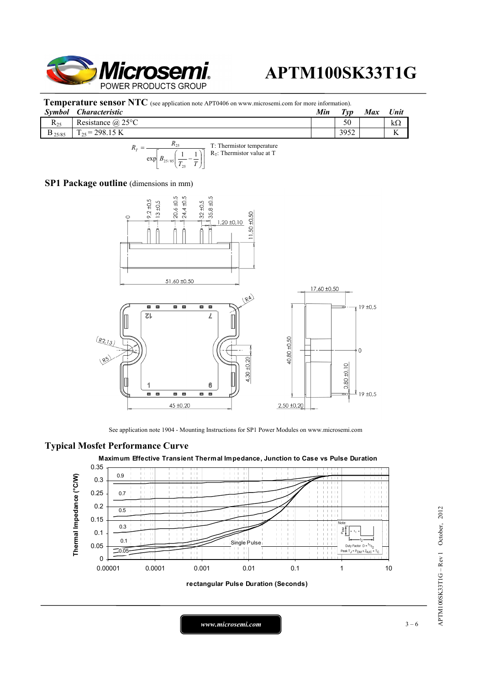

**Temperature sensor NTC** (see application note APT0406 on www.microsemi.com for more information).

| Symbol               | Characteristic        | Min | $T_{VD}$ | <b>Max</b> | Unit              |
|----------------------|-----------------------|-----|----------|------------|-------------------|
| $R_{25}$             | Resistance $(a)$ 25°C |     | 50       |            | kΩ                |
| $\mathbf{D}_{25/85}$ | $E = 298.15$ K<br>œ   |     | 3952     |            | $\mathbf{r}$<br>л |
|                      |                       |     |          |            |                   |



#### **SP1 Package outline** (dimensions in mm)



See application note 1904 - Mounting Instructions for SP1 Power Modules on www.microsemi.com

#### **Typical Mosfet Performance Curve**





**rectangular Pulse Duration (Seconds)**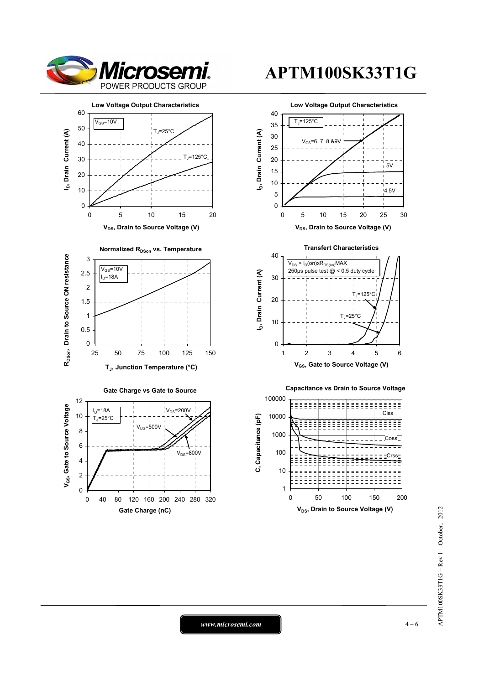









1 10 0 50 100 150 200 **V<sub>DS</sub>**, Drain to Source Voltage (V)

*www.microsemi.com* 4-6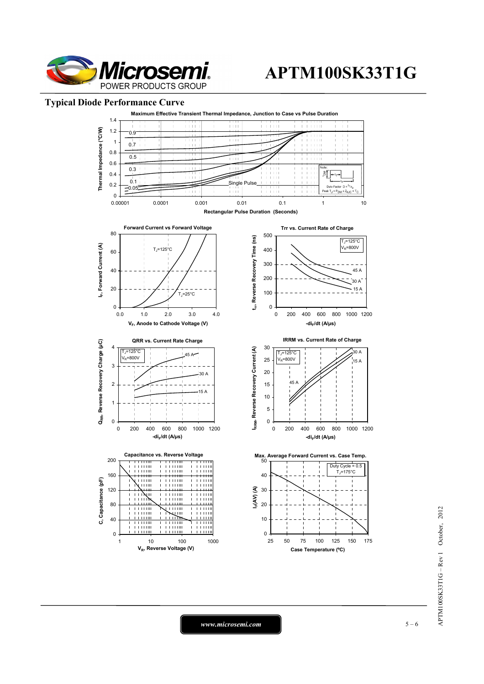

#### **Typical Diode Performance Curve**



*www.microsemi.com* 5 – 6